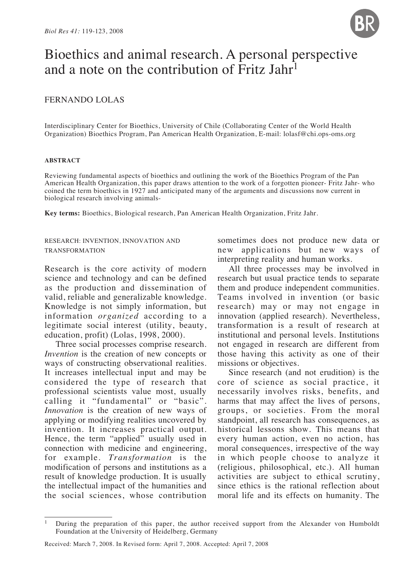

# Bioethics and animal research. A personal perspective and a note on the contribution of Fritz Jahr<sup>1</sup>

# FERNANDO LOLAS

Interdisciplinary Center for Bioethics, University of Chile (Collaborating Center of the World Health Organization) Bioethics Program, Pan American Health Organization, E-mail: lolasf@chi.ops-oms.org

#### **ABSTRACT**

Reviewing fundamental aspects of bioethics and outlining the work of the Bioethics Program of the Pan American Health Organization, this paper draws attention to the work of a forgotten pioneer- Fritz Jahr- who coined the term bioethics in 1927 and anticipated many of the arguments and discussions now current in biological research involving animals-

**Key terms:** Bioethics, Biological research, Pan American Health Organization, Fritz Jahr.

RESEARCH: INVENTION, INNOVATION AND TRANSFORMATION

Research is the core activity of modern science and technology and can be defined as the production and dissemination of valid, reliable and generalizable knowledge. Knowledge is not simply information, but information *organized* according to a legitimate social interest (utility, beauty, education, profit) (Lolas, 1998, 2000).

Three social processes comprise research. *Invention* is the creation of new concepts or ways of constructing observational realities. It increases intellectual input and may be considered the type of research that professional scientists value most, usually calling it "fundamental" or "basic". *Innovation* is the creation of new ways of applying or modifying realities uncovered by invention. It increases practical output. Hence, the term "applied" usually used in connection with medicine and engineering, for example. *Transformation* is the modification of persons and institutions as a result of knowledge production. It is usually the intellectual impact of the humanities and the social sciences, whose contribution

sometimes does not produce new data or new applications but new ways of interpreting reality and human works.

All three processes may be involved in research but usual practice tends to separate them and produce independent communities. Teams involved in invention (or basic research) may or may not engage in innovation (applied research). Nevertheless, transformation is a result of research at institutional and personal levels. Institutions not engaged in research are different from those having this activity as one of their missions or objectives.

Since research (and not erudition) is the core of science as social practice, it necessarily involves risks, benefits, and harms that may affect the lives of persons, groups, or societies. From the moral standpoint, all research has consequences, as historical lessons show. This means that every human action, even no action, has moral consequences, irrespective of the way in which people choose to analyze it (religious, philosophical, etc.). All human activities are subject to ethical scrutiny, since ethics is the rational reflection about moral life and its effects on humanity. The

<sup>&</sup>lt;sup>1</sup> During the preparation of this paper, the author received support from the Alexander von Humboldt Foundation at the University of Heidelberg, Germany

Received: March 7, 2008. In Revised form: April 7, 2008. Accepted: April 7, 2008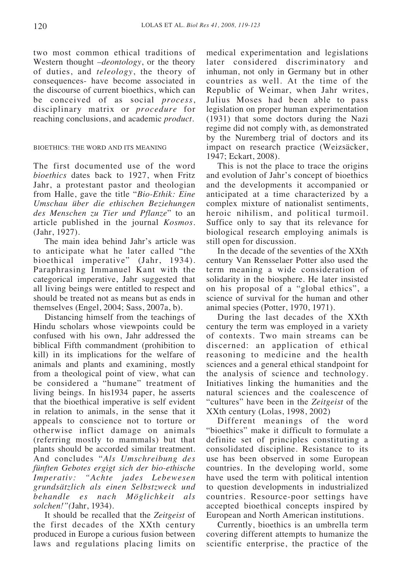two most common ethical traditions of Western thought –*deontology*, or the theory of duties, and *teleology*, the theory of consequences- have become associated in the discourse of current bioethics, which can be conceived of as social *process*, disciplinary matrix or *procedure* for reaching conclusions, and academic *product*.

## BIOETHICS: THE WORD AND ITS MEANING

The first documented use of the word *bioethics* dates back to 1927, when Fritz Jahr, a protestant pastor and theologian from Halle, gave the title "*Bio-Ethik: Eine Umschau über die ethischen Beziehungen des Menschen zu Tier und Pflanze*" to an article published in the journal *Kosmos*. (Jahr, 1927).

The main idea behind Jahr's article was to anticipate what he later called "the bioethical imperative" (Jahr, 1934). Paraphrasing Immanuel Kant with the categorical imperative, Jahr suggested that all living beings were entitled to respect and should be treated not as means but as ends in themselves (Engel, 2004; Sass, 2007a, b).

Distancing himself from the teachings of Hindu scholars whose viewpoints could be confused with his own, Jahr addressed the biblical Fifth commandment (prohibition to kill) in its implications for the welfare of animals and plants and examining, mostly from a theological point of view, what can be considered a "humane" treatment of living beings. In his1934 paper, he asserts that the bioethical imperative is self evident in relation to animals, in the sense that it appeals to conscience not to torture or otherwise inflict damage on animals (referring mostly to mammals) but that plants should be accorded similar treatment. And concludes "*Als Umschreibung des fünften Gebotes ergigt sich der bio-ethische Imperativ: "Achte jades Lebewesen grundsätzlich als einen Selbstzweck und behandle es nach Möglichkeit als solchen!"(*Jahr, 1934).

It should be recalled that the *Zeitgeist* of the first decades of the XXth century produced in Europe a curious fusion between laws and regulations placing limits on

medical experimentation and legislations later considered discriminatory and inhuman, not only in Germany but in other countries as well. At the time of the Republic of Weimar, when Jahr writes, Julius Moses had been able to pass legislation on proper human experimentation (1931) that some doctors during the Nazi regime did not comply with, as demonstrated by the Nuremberg trial of doctors and its impact on research practice (Weizsäcker, 1947; Eckart, 2008).

This is not the place to trace the origins and evolution of Jahr's concept of bioethics and the developments it accompanied or anticipated at a time characterized by a complex mixture of nationalist sentiments, heroic nihilism, and political turmoil. Suffice only to say that its relevance for biological research employing animals is still open for discussion.

In the decade of the seventies of the XXth century Van Rensselaer Potter also used the term meaning a wide consideration of solidarity in the biosphere. He later insisted on his proposal of a "global ethics", a science of survival for the human and other animal species (Potter, 1970, 1971).

During the last decades of the XXth century the term was employed in a variety of contexts. Two main streams can be discerned: an application of ethical reasoning to medicine and the health sciences and a general ethical standpoint for the analysis of science and technology. Initiatives linking the humanities and the natural sciences and the coalescence of "cultures" have been in the *Zeitgeist* of the XXth century (Lolas, 1998, 2002)

Different meanings of the word "bioethics" make it difficult to formulate a definite set of principles constituting a consolidated discipline. Resistance to its use has been observed in some European countries. In the developing world, some have used the term with political intention to question developments in industrialized countries. Resource-poor settings have accepted bioethical concepts inspired by European and North American institutions.

Currently, bioethics is an umbrella term covering different attempts to humanize the scientific enterprise, the practice of the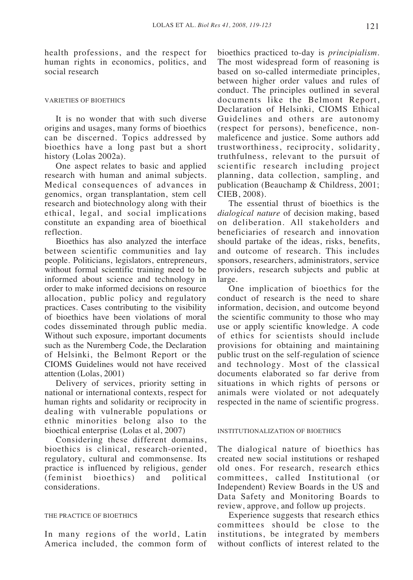health professions, and the respect for human rights in economics, politics, and social research

#### VARIETIES OF BIOETHICS

It is no wonder that with such diverse origins and usages, many forms of bioethics can be discerned. Topics addressed by bioethics have a long past but a short history (Lolas 2002a).

One aspect relates to basic and applied research with human and animal subjects. Medical consequences of advances in genomics, organ transplantation, stem cell research and biotechnology along with their ethical, legal, and social implications constitute an expanding area of bioethical reflection.

Bioethics has also analyzed the interface between scientific communities and lay people. Politicians, legislators, entrepreneurs, without formal scientific training need to be informed about science and technology in order to make informed decisions on resource allocation, public policy and regulatory practices. Cases contributing to the visibility of bioethics have been violations of moral codes disseminated through public media. Without such exposure, important documents such as the Nuremberg Code, the Declaration of Helsinki, the Belmont Report or the CIOMS Guidelines would not have received attention (Lolas, 2001)

Delivery of services, priority setting in national or international contexts, respect for human rights and solidarity or reciprocity in dealing with vulnerable populations or ethnic minorities belong also to the bioethical enterprise (Lolas et al, 2007)

Considering these different domains, bioethics is clinical, research-oriented, regulatory, cultural and commonsense. Its practice is influenced by religious, gender (feminist bioethics) and political considerations.

#### THE PRACTICE OF BIOETHICS

In many regions of the world, Latin America included, the common form of bioethics practiced to-day is *principialism*. The most widespread form of reasoning is based on so-called intermediate principles, between higher order values and rules of conduct. The principles outlined in several documents like the Belmont Report, Declaration of Helsinki, CIOMS Ethical Guidelines and others are autonomy (respect for persons), beneficence, nonmaleficence and justice. Some authors add trustworthiness, reciprocity, solidarity, truthfulness, relevant to the pursuit of scientific research including project planning, data collection, sampling, and publication (Beauchamp & Childress, 2001; CIEB, 2008).

The essential thrust of bioethics is the *dialogical nature* of decision making, based on deliberation. All stakeholders and beneficiaries of research and innovation should partake of the ideas, risks, benefits, and outcome of research. This includes sponsors, researchers, administrators, service providers, research subjects and public at large.

One implication of bioethics for the conduct of research is the need to share information, decision, and outcome beyond the scientific community to those who may use or apply scientific knowledge. A code of ethics for scientists should include provisions for obtaining and maintaining public trust on the self-regulation of science and technology. Most of the classical documents elaborated so far derive from situations in which rights of persons or animals were violated or not adequately respected in the name of scientific progress.

#### INSTITUTIONALIZATION OF BIOETHICS

The dialogical nature of bioethics has created new social institutions or reshaped old ones. For research, research ethics committees, called Institutional (or Independent) Review Boards in the US and Data Safety and Monitoring Boards to review, approve, and follow up projects.

Experience suggests that research ethics committees should be close to the institutions, be integrated by members without conflicts of interest related to the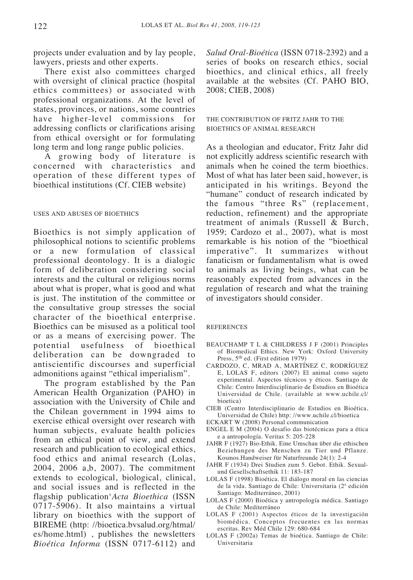projects under evaluation and by lay people, lawyers, priests and other experts.

There exist also committees charged with oversight of clinical practice (hospital ethics committees) or associated with professional organizations. At the level of states, provinces, or nations, some countries have higher-level commissions for addressing conflicts or clarifications arising from ethical oversight or for formulating long term and long range public policies.

A growing body of literature is concerned with characteristics and operation of these different types of bioethical institutions (Cf. CIEB website)

#### USES AND ABUSES OF BIOETHICS

Bioethics is not simply application of philosophical notions to scientific problems or a new formulation of classical professional deontology. It is a dialogic form of deliberation considering social interests and the cultural or religious norms about what is proper, what is good and what is just. The institution of the committee or the consultative group stresses the social character of the bioethical enterprise. Bioethics can be misused as a political tool or as a means of exercising power. The potential usefulness of bioethical deliberation can be downgraded to antiscientific discourses and superficial admonitions against "ethical imperialism".

The program established by the Pan American Health Organization (PAHO) in association with the University of Chile and the Chilean government in 1994 aims to exercise ethical oversight over research with human subjects, evaluate health policies from an ethical point of view, and extend research and publication to ecological ethics, food ethics and animal research (Lolas, 2004, 2006 a,b, 2007). The commitment extends to ecological, biological, clinical, and social issues and is reflected in the flagship publication'*Acta Bioethica* (ISSN 0717-5906). It also maintains a virtual library on bioethics with the support of BIREME (http: //bioetica.bvsalud.org/htmal/ es/home.html) , publishes the newsletters *Bioética Informa* (ISSN 0717-6112) and

*Salud Oral-Bioética* (ISSN 0718-2392) and a series of books on research ethics, social bioethics, and clinical ethics, all freely available at the websites (Cf. PAHO BIO, 2008; CIEB, 2008)

### THE CONTRIBUTION OF FRITZ JAHR TO THE BIOETHICS OF ANIMAL RESEARCH

As a theologian and educator, Fritz Jahr did not explicitly address scientific research with animals when he coined the term bioethics. Most of what has later been said, however, is anticipated in his writings. Beyond the "humane" conduct of research indicated by the famous "three Rs" (replacement, reduction, refinement) and the appropriate treatment of animals (Russell & Burch, 1959; Cardozo et al., 2007), what is most remarkable is his notion of the "bioethical imperative". It summarizes without fanaticism or fundamentalism what is owed to animals as living beings, what can be reasonably expected from advances in the regulation of research and what the training of investigators should consider.

#### REFERENCES

- BEAUCHAMP T L & CHILDRESS J F (2001) Principles of Biomedical Ethics. New York: Oxford University Press, 5<sup>th</sup> ed. (First edition 1979)
- CARDOZO, C, MRAD A, MARTÍNEZ C, RODRÍGUEZ E, LOLAS F, editors (2007) El animal como sujeto experimental. Aspectos técnicos y éticos. Santiago de Chile: Centro Interdisciplinario de Estudios en Bioética Universidad de Chile. (available at www.uchile.cl/ bioetica)
- CIEB (Centro Interdisciplinario de Estudios en Bioética, Universidad de Chile) http: //www.uchile.cl/bioetica
- ECKART W (2008) Personal communication
- ENGEL E M (2004) O desafio das biotécnicas para a ética e a antropología. Veritas 5: 205-228
- JAHR F (1927) Bio-Ethik. Eine Umschau über die ethischen Beziehungen des Menschen zu Tier und Pflanze. Kosmos.Handweiser für Naturfreunde 24(1): 2-4
- JAHR F (1934) Drei Studien zum 5. Gebot. Ethik. Sexualund Gesellschaftsethik 11: 183-187
- LOLAS F (1998) Bioética. El diálogo moral en las ciencias de la vida. Santiago de Chile: Universitaria (2ª edición Santiago: Mediterráneo, 2001)
- LOLAS F (2000) Bioética y antropología médica. Santiago de Chile: Mediterráneo
- LOLAS F (2001) Aspectos éticos de la investigación biomédica. Conceptos frecuentes en las normas escritas. Rev Méd Chile 129: 680-684
- LOLAS F (2002a) Temas de bioética. Santiago de Chile: Universitaria